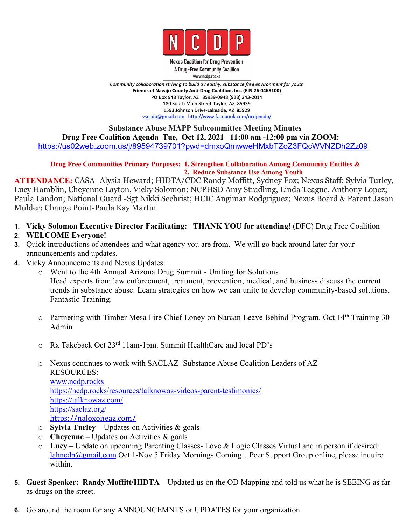

**Nexus Coalition for Drug Prevention** A Drug-Free Community Coalition www.ncdp.rocks

Community collaboration striving to build a healthy, substance free environment for youth Friends of Navajo County Anti-Drug Coalition, Inc. (EIN 26-0468100) PO Box 948 Taylor, AZ 85939-0948 (928) 243-2014 180 South Main Street-Taylor, AZ 85939 1593 Johnson Drive-Lakeside, AZ 85929 vsncdp@gmail.com http://www.facebook.com/ncdpncdp/

**Substance Abuse MAPP Subcommittee Meeting Minutes Drug Free Coalition Agenda Tue, Oct 12, 2021 11:00 am -12:00 pm via ZOOM:** <https://us02web.zoom.us/j/89594739701?pwd=dmxoQmwweHMxbTZoZ3FQcWVNZDh2Zz09>

#### **Drug Free Communities Primary Purposes: 1. Strengthen Collaboration Among Community Entities & 2. Reduce Substance Use Among Youth**

**ATTENDANCE:** CASA- Alysia Heward; HIDTA/CDC Randy Moffitt, Sydney Fox; Nexus Staff: Sylvia Turley, Lucy Hamblin, Cheyenne Layton, Vicky Solomon; NCPHSD Amy Stradling, Linda Teague, Anthony Lopez; Paula Landon; National Guard -Sgt Nikki Sechrist; HCIC Angimar Rodgriguez; Nexus Board & Parent Jason Mulder; Change Point-Paula Kay Martin

**1. Vicky Solomon Executive Director Facilitating: THANK YOU for attending!** (DFC) Drug Free Coalition

### **2. WELCOME Everyone!**

- **3.** Quick introductions of attendees and what agency you are from. We will go back around later for your announcements and updates.
- **4.** Vicky Announcements and Nexus Updates:
	- o Went to the 4th Annual Arizona Drug Summit Uniting for Solutions Head experts from law enforcement, treatment, prevention, medical, and business discuss the current trends in substance abuse. Learn strategies on how we can unite to develop community-based solutions. Fantastic Training.
	- o Partnering with Timber Mesa Fire Chief Loney on Narcan Leave Behind Program. Oct 14 th Training 30 Admin
	- o Rx Takeback Oct 23 rd 11am-1pm. Summit HealthCare and local PD's
	- o Nexus continues to work with SACLAZ -Substance Abuse Coalition Leaders ofAZ RESOURCES: [www.ncdp.rocks](http://www.ncdp.rocks)

<https://ncdp.rocks/resources/talknowaz-videos-parent-testimonies/> [https://talknowaz.com/](https://www.google.com/url?q=https://talknowaz.com/&sa=D&source=calendar&usd=2&usg=AOvVaw3oaiE00kVKA5zY7O6hL5r7) [https://saclaz.org/](https://www.google.com/url?q=https://saclaz.org/&sa=D&source=calendar&usd=2&usg=AOvVaw2DJgzl5DWUkcQJ3xLlsE15) [https://naloxoneaz.com/](https://www.google.com/url?q=https://naloxoneaz.com/&sa=D&source=calendar&usd=2&usg=AOvVaw29DHHlCYkYtuf9R0VnQi-p)

- o **Sylvia Turley** Updates on Activities & goals
- o **Cheyenne –** Updates on Activities & goals
- o **Lucy** Update on upcoming Parenting Classes- Love & Logic Classes Virtual and in person if desired: [lahncdp@gmail.com](mailto:lahncdp@gmail.com) Oct 1-Nov 5 Friday Mornings Coming...Peer Support Group online, please inquire within.
- **5. Guest Speaker: Randy Moffitt/HIDTA –** Updated us on the OD Mapping and told us what he is SEEING as far as drugs on the street.
- **6.** Go around the room for any ANNOUNCEMNTS or UPDATES for your organization